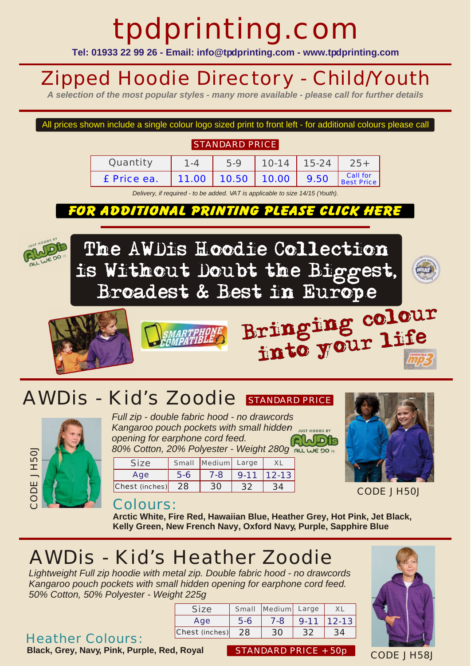# tpdprinting.com

**Tel: 01933 22 99 26 - Email: info@tpdprinting.com - www.tpdprinting.com**

# Zipped Hoodie Directory - Child/Youth

*A selection of the most popular styles - many more available - please call for further details*

#### All prices shown include a single colour logo sized print to front left - for additional colours please call

#### STANDARD PRICE

| Quantity    | 1 - Δ | 5.9                    | $10-14$   15-24 | $25+$                  |
|-------------|-------|------------------------|-----------------|------------------------|
| £ Price ea. |       | 11.00 10.50 10.00 9.50 |                 | Call for<br>Best Price |

*Delivery, if required - to be added. VAT is applicable to size 14/15 (Youth).*

#### FOR ADDITIONAL PRINTING PLEASE CLICK HERE





### AWDIS - Kid's Zoodie STANDARD PRICE



*Full zip - double fabric hood - no drawcords Kangaroo pouch pockets with small hidden Sust HOODS BY Reporting for earphone cord feed. opening for earphone cord feed. 80% Cotton, 20% Polyester - Weight 280g*

| Size           |     | Small Medium Large |          |           |
|----------------|-----|--------------------|----------|-----------|
| Age            | 5-6 | 7-8                | $9 - 11$ | $12 - 13$ |
| Chest (inches) | 28  |                    |          |           |



CODE JH50J

#### Colours:

**Arctic White, Fire Red, Hawaiian Blue, Heather Grey, Hot Pink, Jet Black, Kelly Green, New French Navy, Oxford Navy, Purple, Sapphire Blue**

### *AWDis - Kid's Heather Zoodie*

*Lightweight Full zip hoodie with metal zip. Double fabric hood - no drawcords Kangaroo pouch pockets with small hidden opening for earphone cord feed. 50% Cotton, 50% Polyester - Weight 225g*

#### Heather Colours:

**Black, Grey, Navy, Pink, Purple, Red, Royal STANDARD PRICE + 50p** 

Size Small Medium Large XL Age Chest (inches) 5-6 28 7-8 30 9-11 32 12-13 34